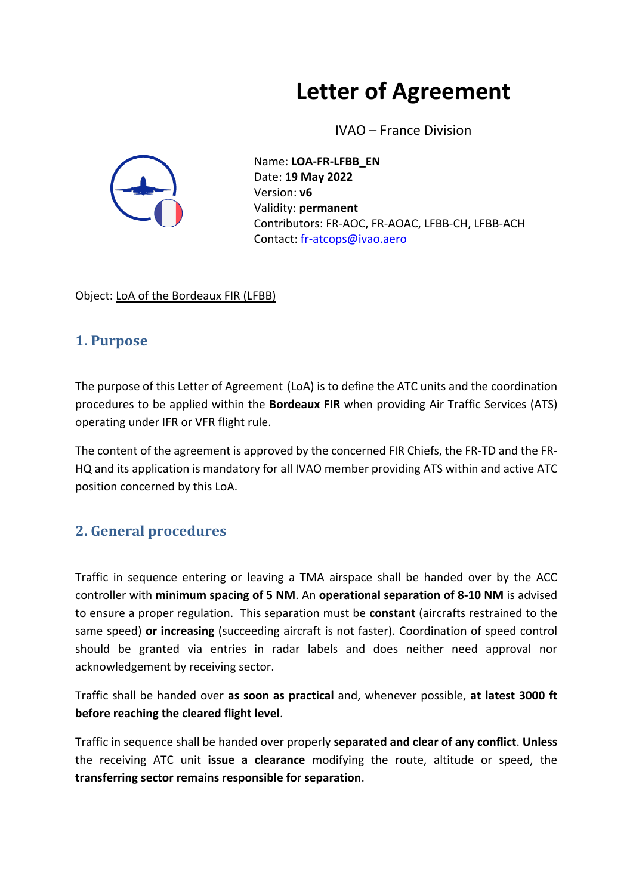# **Letter of Agreement**

IVAO – France Division



Name: **LOA-FR-LFBB\_EN** Date: **19 May 2022** Version: **v6** Validity: **permanent** Contributors: FR-AOC, FR-AOAC, LFBB-CH, LFBB-ACH Contact: [fr-atcops@ivao.aero](mailto:fr-atcops@ivao.aero)

Object: LoA of the Bordeaux FIR (LFBB)

## **1. Purpose**

The purpose of this Letter of Agreement (LoA) is to define the ATC units and the coordination procedures to be applied within the **Bordeaux FIR** when providing Air Traffic Services (ATS) operating under IFR or VFR flight rule.

The content of the agreement is approved by the concerned FIR Chiefs, the FR-TD and the FR-HQ and its application is mandatory for all IVAO member providing ATS within and active ATC position concerned by this LoA.

## **2. General procedures**

Traffic in sequence entering or leaving a TMA airspace shall be handed over by the ACC controller with **minimum spacing of 5 NM**. An **operational separation of 8-10 NM** is advised to ensure a proper regulation. This separation must be **constant** (aircrafts restrained to the same speed) **or increasing** (succeeding aircraft is not faster). Coordination of speed control should be granted via entries in radar labels and does neither need approval nor acknowledgement by receiving sector.

Traffic shall be handed over **as soon as practical** and, whenever possible, **at latest 3000 ft before reaching the cleared flight level**.

Traffic in sequence shall be handed over properly **separated and clear of any conflict**. **Unless**  the receiving ATC unit **issue a clearance** modifying the route, altitude or speed, the **transferring sector remains responsible for separation**.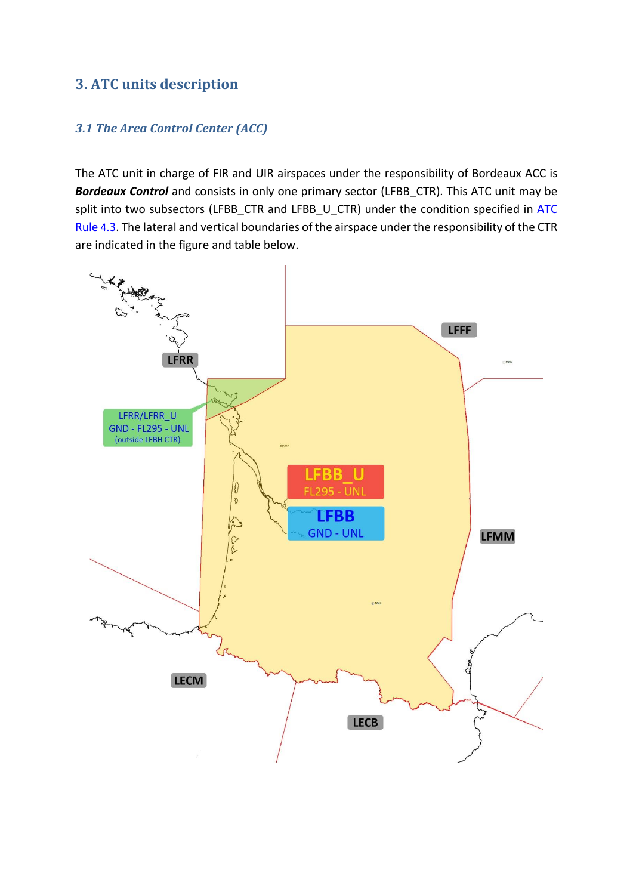## **3. ATC units description**

#### *3.1 The Area Control Center (ACC)*

The ATC unit in charge of FIR and UIR airspaces under the responsibility of Bordeaux ACC is *Bordeaux Control* and consists in only one primary sector (LFBB\_CTR). This ATC unit may be split into two subsectors (LFBB\_CTR and LFBB\_U\_CTR) under the condition specified in  $\overline{ATC}$ [Rule](https://www.ivao.fr/en/pages/atc/rules#sector_h1_3) 4.3. The lateral and vertical boundaries of the airspace under the responsibility of the CTR are indicated in the figure and table below.

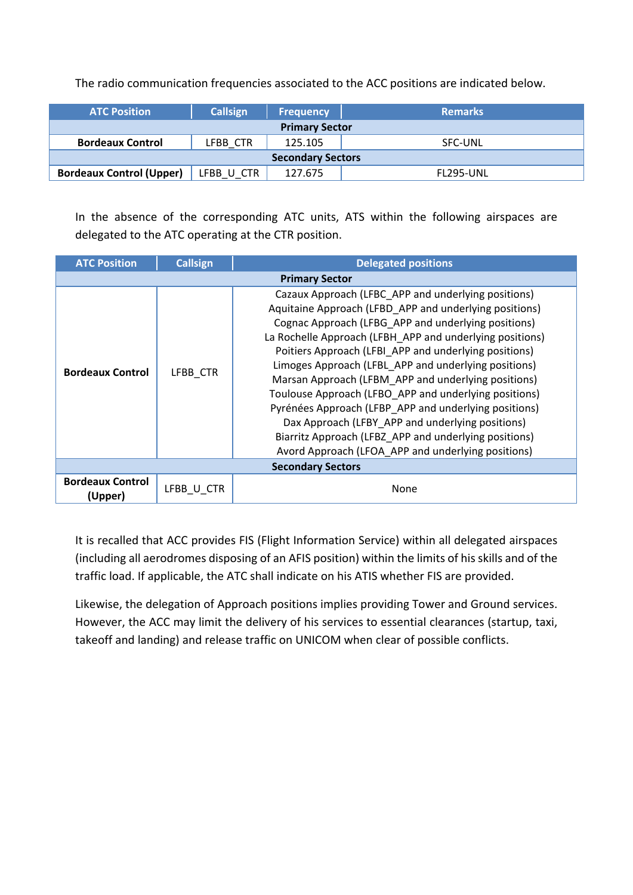The radio communication frequencies associated to the ACC positions are indicated below.

| <b>ATC Position</b>             | <b>Callsign</b> | <b>Frequency</b> | <b>Remarks</b> |  |  |  |  |
|---------------------------------|-----------------|------------------|----------------|--|--|--|--|
| <b>Primary Sector</b>           |                 |                  |                |  |  |  |  |
| <b>Bordeaux Control</b>         | LFBB CTR        | 125.105          | <b>SFC-UNL</b> |  |  |  |  |
| <b>Secondary Sectors</b>        |                 |                  |                |  |  |  |  |
| <b>Bordeaux Control (Upper)</b> | LFBB U CTR      | 127.675          | FL295-UNL      |  |  |  |  |

In the absence of the corresponding ATC units, ATS within the following airspaces are delegated to the ATC operating at the CTR position.

| <b>ATC Position</b>                | <b>Callsign</b><br><b>Delegated positions</b> |                                                                                                                                                                                                                                                                                                                                                                                                                                                                                                                                                                                                                                                                                               |  |
|------------------------------------|-----------------------------------------------|-----------------------------------------------------------------------------------------------------------------------------------------------------------------------------------------------------------------------------------------------------------------------------------------------------------------------------------------------------------------------------------------------------------------------------------------------------------------------------------------------------------------------------------------------------------------------------------------------------------------------------------------------------------------------------------------------|--|
|                                    |                                               | <b>Primary Sector</b>                                                                                                                                                                                                                                                                                                                                                                                                                                                                                                                                                                                                                                                                         |  |
| <b>Bordeaux Control</b>            | LFBB CTR                                      | Cazaux Approach (LFBC APP and underlying positions)<br>Aquitaine Approach (LFBD_APP and underlying positions)<br>Cognac Approach (LFBG APP and underlying positions)<br>La Rochelle Approach (LFBH APP and underlying positions)<br>Poitiers Approach (LFBI APP and underlying positions)<br>Limoges Approach (LFBL APP and underlying positions)<br>Marsan Approach (LFBM APP and underlying positions)<br>Toulouse Approach (LFBO_APP and underlying positions)<br>Pyrénées Approach (LFBP_APP and underlying positions)<br>Dax Approach (LFBY APP and underlying positions)<br>Biarritz Approach (LFBZ APP and underlying positions)<br>Avord Approach (LFOA APP and underlying positions) |  |
|                                    |                                               | <b>Secondary Sectors</b>                                                                                                                                                                                                                                                                                                                                                                                                                                                                                                                                                                                                                                                                      |  |
| <b>Bordeaux Control</b><br>(Upper) | LFBB U CTR                                    | None                                                                                                                                                                                                                                                                                                                                                                                                                                                                                                                                                                                                                                                                                          |  |

It is recalled that ACC provides FIS (Flight Information Service) within all delegated airspaces (including all aerodromes disposing of an AFIS position) within the limits of his skills and of the traffic load. If applicable, the ATC shall indicate on his ATIS whether FIS are provided.

Likewise, the delegation of Approach positions implies providing Tower and Ground services. However, the ACC may limit the delivery of his services to essential clearances (startup, taxi, takeoff and landing) and release traffic on UNICOM when clear of possible conflicts.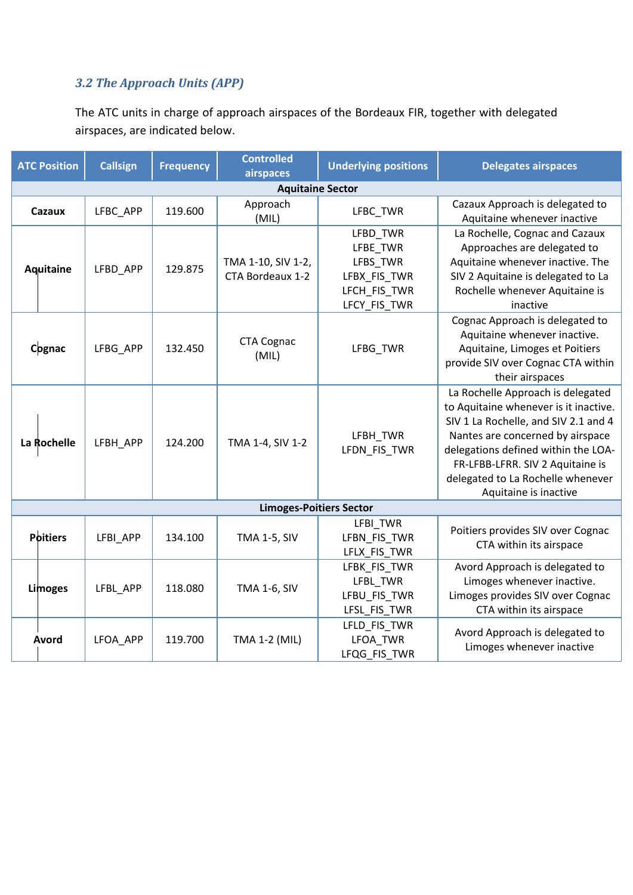#### *3.2 The Approach Units (APP)*

The ATC units in charge of approach airspaces of the Bordeaux FIR, together with delegated airspaces, are indicated below.

| <b>ATC Position</b>     |                 | <b>Callsign</b>     | <b>Frequency</b> | <b>Controlled</b><br>airspaces         | <b>Underlying positions</b>                                                      | <b>Delegates airspaces</b>                                                                                                                                                                                                                                                                      |  |  |
|-------------------------|-----------------|---------------------|------------------|----------------------------------------|----------------------------------------------------------------------------------|-------------------------------------------------------------------------------------------------------------------------------------------------------------------------------------------------------------------------------------------------------------------------------------------------|--|--|
| <b>Aquitaine Sector</b> |                 |                     |                  |                                        |                                                                                  |                                                                                                                                                                                                                                                                                                 |  |  |
| Cazaux                  |                 | LFBC APP            | 119.600          | Approach<br>(MIL)                      | LFBC TWR                                                                         | Cazaux Approach is delegated to<br>Aquitaine whenever inactive                                                                                                                                                                                                                                  |  |  |
| Aquitaine               |                 | LFBD_APP            | 129.875          | TMA 1-10, SIV 1-2,<br>CTA Bordeaux 1-2 | LFBD_TWR<br>LFBE_TWR<br>LFBS_TWR<br>LFBX_FIS_TWR<br>LFCH_FIS_TWR<br>LFCY_FIS_TWR | La Rochelle, Cognac and Cazaux<br>Approaches are delegated to<br>Aquitaine whenever inactive. The<br>SIV 2 Aquitaine is delegated to La<br>Rochelle whenever Aquitaine is<br>inactive                                                                                                           |  |  |
| Cognac                  |                 | LFBG APP            | 132.450          | <b>CTA Cognac</b><br>(MIL)             | LFBG_TWR                                                                         | Cognac Approach is delegated to<br>Aquitaine whenever inactive.<br>Aquitaine, Limoges et Poitiers<br>provide SIV over Cognac CTA within<br>their airspaces                                                                                                                                      |  |  |
| La Rochelle             |                 | 124.200<br>LFBH_APP |                  | TMA 1-4, SIV 1-2                       | LFBH_TWR<br>LFDN_FIS_TWR                                                         | La Rochelle Approach is delegated<br>to Aquitaine whenever is it inactive.<br>SIV 1 La Rochelle, and SIV 2.1 and 4<br>Nantes are concerned by airspace<br>delegations defined within the LOA-<br>FR-LFBB-LFRR. SIV 2 Aquitaine is<br>delegated to La Rochelle whenever<br>Aquitaine is inactive |  |  |
|                         |                 |                     |                  | <b>Limoges-Poitiers Sector</b>         |                                                                                  |                                                                                                                                                                                                                                                                                                 |  |  |
|                         | <b>Poitiers</b> | LFBI APP            | 134.100          | <b>TMA 1-5, SIV</b>                    | LFBI_TWR<br>LFBN_FIS_TWR<br>LFLX_FIS_TWR                                         | Poitiers provides SIV over Cognac<br>CTA within its airspace                                                                                                                                                                                                                                    |  |  |
|                         | Limoges         | LFBL APP            | 118.080          | <b>TMA 1-6, SIV</b>                    | LFBK_FIS_TWR<br>LFBL TWR<br>LFBU_FIS_TWR<br>LFSL_FIS_TWR                         | Avord Approach is delegated to<br>Limoges whenever inactive.<br>Limoges provides SIV over Cognac<br>CTA within its airspace                                                                                                                                                                     |  |  |
|                         | Avord           | LFOA_APP            | 119.700          | TMA 1-2 (MIL)                          | LFLD_FIS_TWR<br>LFOA_TWR<br>LFQG FIS TWR                                         | Avord Approach is delegated to<br>Limoges whenever inactive                                                                                                                                                                                                                                     |  |  |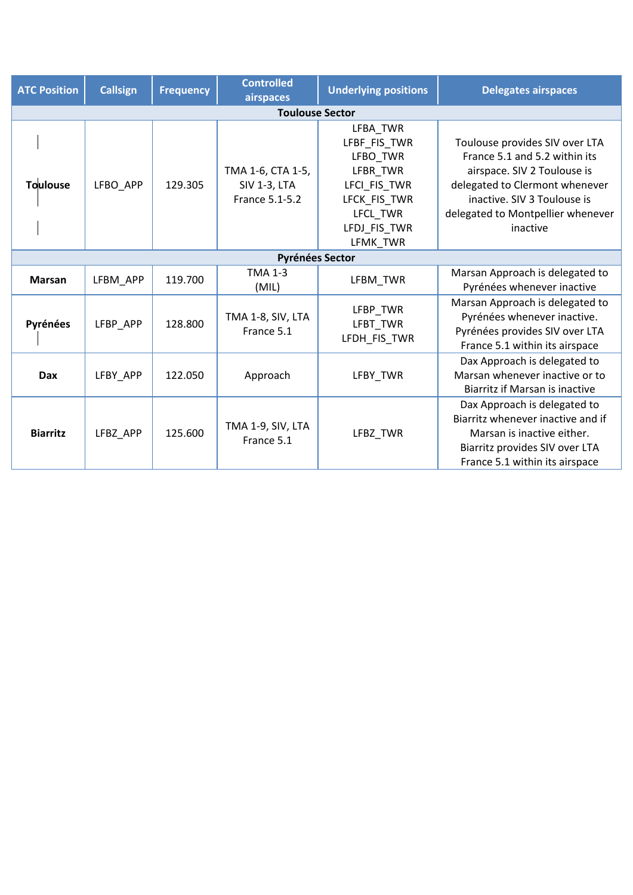| <b>ATC Position</b><br><b>Callsign</b> |                                                        | <b>Frequency</b>    | <b>Controlled</b><br><b>Underlying positions</b><br>airspaces |                                                                                                                                    | <b>Delegates airspaces</b>                                                                                                                                                                                       |  |  |  |
|----------------------------------------|--------------------------------------------------------|---------------------|---------------------------------------------------------------|------------------------------------------------------------------------------------------------------------------------------------|------------------------------------------------------------------------------------------------------------------------------------------------------------------------------------------------------------------|--|--|--|
| <b>Toulouse Sector</b>                 |                                                        |                     |                                                               |                                                                                                                                    |                                                                                                                                                                                                                  |  |  |  |
| Toulouse                               | LFBO_APP                                               | 129.305             | TMA 1-6, CTA 1-5,<br><b>SIV 1-3, LTA</b><br>France 5.1-5.2    | LFBA TWR<br>LFBF_FIS_TWR<br>LFBO TWR<br>LFBR TWR<br>LFCI_FIS_TWR<br>LFCK_FIS_TWR<br><b>LFCL TWR</b><br>LFDJ_FIS_TWR<br>LFMK TWR    | Toulouse provides SIV over LTA<br>France 5.1 and 5.2 within its<br>airspace. SIV 2 Toulouse is<br>delegated to Clermont whenever<br>inactive. SIV 3 Toulouse is<br>delegated to Montpellier whenever<br>inactive |  |  |  |
| <b>Pyrénées Sector</b>                 |                                                        |                     |                                                               |                                                                                                                                    |                                                                                                                                                                                                                  |  |  |  |
| <b>Marsan</b>                          | LFBM_APP                                               | 119.700             | <b>TMA 1-3</b><br>(MIL)                                       | LFBM TWR                                                                                                                           | Marsan Approach is delegated to<br>Pyrénées whenever inactive                                                                                                                                                    |  |  |  |
| Pyrénées                               | TMA 1-8, SIV, LTA<br>LFBP APP<br>128.800<br>France 5.1 |                     | LFBP TWR<br>LFBT TWR<br>LFDH_FIS_TWR                          | Marsan Approach is delegated to<br>Pyrénées whenever inactive.<br>Pyrénées provides SIV over LTA<br>France 5.1 within its airspace |                                                                                                                                                                                                                  |  |  |  |
| Dax                                    | LFBY APP                                               | 122.050<br>Approach |                                                               | LFBY TWR                                                                                                                           | Dax Approach is delegated to<br>Marsan whenever inactive or to<br>Biarritz if Marsan is inactive                                                                                                                 |  |  |  |
| <b>Biarritz</b>                        | LFBZ_APP                                               | 125.600             | TMA 1-9, SIV, LTA<br>France 5.1                               | LFBZ TWR                                                                                                                           | Dax Approach is delegated to<br>Biarritz whenever inactive and if<br>Marsan is inactive either.<br>Biarritz provides SIV over LTA<br>France 5.1 within its airspace                                              |  |  |  |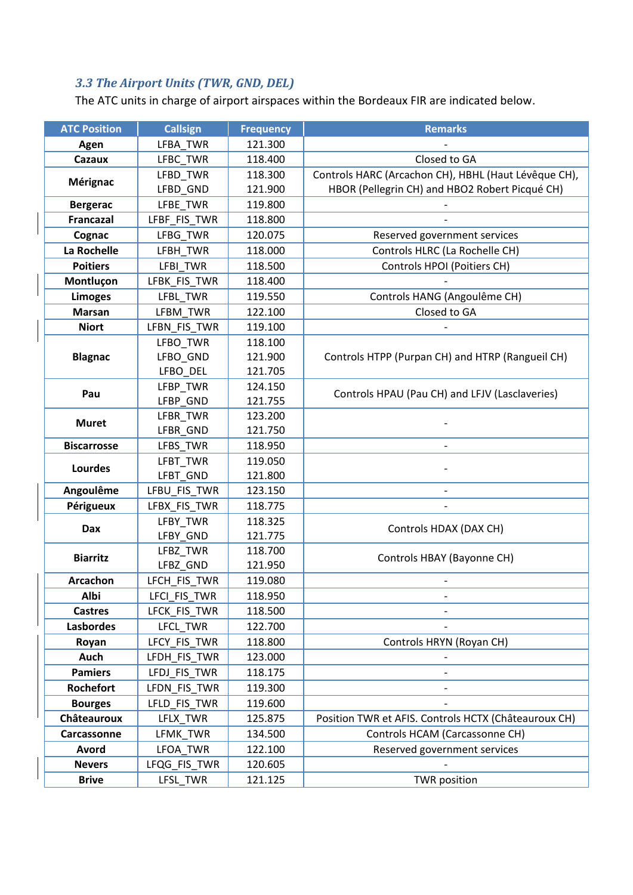## *3.3 The Airport Units (TWR, GND, DEL)*

The ATC units in charge of airport airspaces within the Bordeaux FIR are indicated below.

| <b>ATC Position</b>         | <b>Callsign</b>              | <b>Frequency</b>   | <b>Remarks</b>                                       |  |
|-----------------------------|------------------------------|--------------------|------------------------------------------------------|--|
| Agen                        | LFBA_TWR                     | 121.300            |                                                      |  |
| Cazaux                      | LFBC_TWR                     | 118.400            | Closed to GA                                         |  |
|                             | LFBD_TWR                     | 118.300            | Controls HARC (Arcachon CH), HBHL (Haut Lévêque CH), |  |
| Mérignac                    | LFBD_GND                     | 121.900            | HBOR (Pellegrin CH) and HBO2 Robert Picqué CH)       |  |
| <b>Bergerac</b>             | LFBE TWR                     | 119.800            |                                                      |  |
| <b>Francazal</b>            | LFBF_FIS_TWR                 | 118.800            |                                                      |  |
| Cognac                      | LFBG_TWR                     | 120.075            | Reserved government services                         |  |
| La Rochelle                 | LFBH_TWR                     | 118.000            | Controls HLRC (La Rochelle CH)                       |  |
| <b>Poitiers</b>             | LFBI_TWR                     | 118.500            | Controls HPOI (Poitiers CH)                          |  |
| Montluçon                   | LFBK_FIS_TWR                 | 118.400            |                                                      |  |
| <b>Limoges</b>              | LFBL_TWR                     | 119.550            | Controls HANG (Angoulême CH)                         |  |
| <b>Marsan</b>               | LFBM_TWR                     | 122.100            | Closed to GA                                         |  |
| <b>Niort</b>                | LFBN FIS TWR                 | 119.100            |                                                      |  |
|                             | LFBO_TWR                     | 118.100            |                                                      |  |
| <b>Blagnac</b>              | LFBO GND                     | 121.900            | Controls HTPP (Purpan CH) and HTRP (Rangueil CH)     |  |
|                             | LFBO_DEL                     | 121.705            |                                                      |  |
| Pau                         | LFBP_TWR                     | 124.150            | Controls HPAU (Pau CH) and LFJV (Lasclaveries)       |  |
|                             | LFBP_GND                     | 121.755            |                                                      |  |
| <b>Muret</b>                | LFBR_TWR                     | 123.200            |                                                      |  |
|                             | LFBR_GND                     | 121.750            |                                                      |  |
| <b>Biscarrosse</b>          | LFBS_TWR                     | 118.950            |                                                      |  |
| Lourdes                     | LFBT_TWR                     | 119.050            |                                                      |  |
|                             | LFBT_GND                     | 121.800            |                                                      |  |
| Angoulême                   | LFBU_FIS_TWR                 | 123.150            |                                                      |  |
| Périgueux                   | LFBX_FIS_TWR<br>118.775      |                    |                                                      |  |
| Dax                         | LFBY_TWR                     | 118.325            | Controls HDAX (DAX CH)                               |  |
|                             | LFBY_GND                     | 121.775            |                                                      |  |
| <b>Biarritz</b>             | LFBZ TWR                     | 118.700            | Controls HBAY (Bayonne CH)                           |  |
|                             | LFBZ_GND                     | 121.950            |                                                      |  |
| Arcachon<br>Albi            | LFCH_FIS_TWR                 | 119.080            |                                                      |  |
| <b>Castres</b>              | LFCI_FIS_TWR                 | 118.950<br>118.500 |                                                      |  |
| <b>Lasbordes</b>            | LFCK_FIS_TWR                 | 122.700            |                                                      |  |
|                             | LFCL_TWR                     | 118.800            | Controls HRYN (Royan CH)                             |  |
| Royan<br>Auch               | LFCY_FIS_TWR<br>LFDH FIS TWR | 123.000            |                                                      |  |
| <b>Pamiers</b>              |                              | 118.175            |                                                      |  |
|                             | LFDJ_FIS_TWR                 |                    |                                                      |  |
| Rochefort<br><b>Bourges</b> | LFDN_FIS_TWR<br>LFLD_FIS_TWR | 119.300<br>119.600 |                                                      |  |
| Châteauroux                 |                              | 125.875            | Position TWR et AFIS. Controls HCTX (Châteauroux CH) |  |
|                             | LFLX_TWR                     |                    | Controls HCAM (Carcassonne CH)                       |  |
| Carcassonne<br>Avord        | LFMK_TWR                     | 134.500            |                                                      |  |
|                             | LFOA_TWR                     | 122.100            | Reserved government services                         |  |
| <b>Nevers</b>               | LFQG_FIS_TWR                 | 120.605            |                                                      |  |
| <b>Brive</b>                | LFSL_TWR                     | 121.125            | <b>TWR</b> position                                  |  |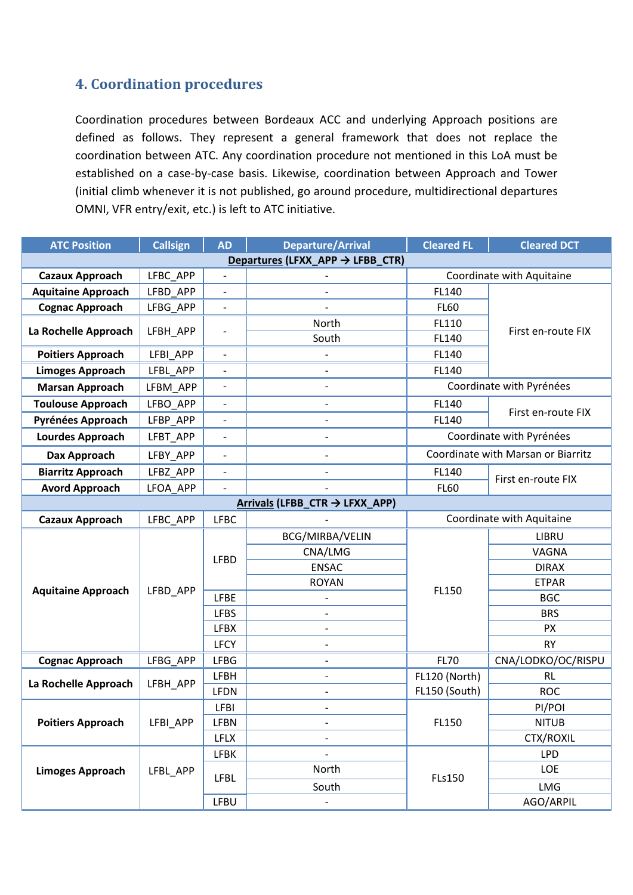## **4. Coordination procedures**

Coordination procedures between Bordeaux ACC and underlying Approach positions are defined as follows. They represent a general framework that does not replace the coordination between ATC. Any coordination procedure not mentioned in this LoA must be established on a case-by-case basis. Likewise, coordination between Approach and Tower (initial climb whenever it is not published, go around procedure, multidirectional departures OMNI, VFR entry/exit, etc.) is left to ATC initiative.

| <b>ATC Position</b>                          | <b>Callsign</b> | <b>AD</b>                | <b>Departure/Arrival</b>  | <b>Cleared FL</b>         | <b>Cleared DCT</b>                 |  |  |
|----------------------------------------------|-----------------|--------------------------|---------------------------|---------------------------|------------------------------------|--|--|
| Departures (LFXX_APP $\rightarrow$ LFBB_CTR) |                 |                          |                           |                           |                                    |  |  |
| <b>Cazaux Approach</b>                       | LFBC APP        | $\overline{\phantom{a}}$ |                           | Coordinate with Aquitaine |                                    |  |  |
| <b>Aquitaine Approach</b>                    | LFBD APP        | $\overline{\phantom{0}}$ |                           | FL140                     | First en-route FIX                 |  |  |
| <b>Cognac Approach</b>                       | LFBG APP        | $\overline{\phantom{0}}$ |                           | <b>FL60</b>               |                                    |  |  |
| La Rochelle Approach                         | LFBH APP        |                          | North                     | FL110                     |                                    |  |  |
|                                              |                 |                          | South                     | FL140                     |                                    |  |  |
| <b>Poitiers Approach</b>                     | LFBI APP        | $\overline{a}$           |                           | FL140                     |                                    |  |  |
| <b>Limoges Approach</b>                      | LFBL APP        |                          |                           | FL140                     |                                    |  |  |
| <b>Marsan Approach</b>                       | LFBM APP        | $\overline{\phantom{0}}$ |                           |                           | Coordinate with Pyrénées           |  |  |
| <b>Toulouse Approach</b>                     | LFBO APP        | $\blacksquare$           | $\overline{\phantom{0}}$  | FL140                     | First en-route FIX                 |  |  |
| Pyrénées Approach                            | LFBP_APP        |                          |                           | FL140                     |                                    |  |  |
| <b>Lourdes Approach</b>                      | LFBT APP        | $\overline{\phantom{a}}$ |                           |                           | Coordinate with Pyrénées           |  |  |
| Dax Approach                                 | LFBY APP        | $\overline{\phantom{a}}$ |                           |                           | Coordinate with Marsan or Biarritz |  |  |
| <b>Biarritz Approach</b>                     | LFBZ APP        |                          |                           | FL140                     | First en-route FIX                 |  |  |
| <b>Avord Approach</b>                        | LFOA APP        |                          |                           | <b>FL60</b>               |                                    |  |  |
| Arrivals (LFBB_CTR → LFXX_APP)               |                 |                          |                           |                           |                                    |  |  |
| <b>Cazaux Approach</b>                       | LFBC_APP        | <b>LFBC</b>              | Coordinate with Aquitaine |                           |                                    |  |  |
|                                              |                 |                          | BCG/MIRBA/VELIN           |                           | <b>LIBRU</b>                       |  |  |
|                                              | LFBD APP        | <b>LFBD</b>              | CNA/LMG                   | FL150                     | VAGNA                              |  |  |
|                                              |                 |                          | <b>ENSAC</b>              |                           | <b>DIRAX</b>                       |  |  |
| <b>Aquitaine Approach</b>                    |                 |                          | <b>ROYAN</b>              |                           | <b>ETPAR</b>                       |  |  |
|                                              |                 | <b>LFBE</b>              |                           |                           | <b>BGC</b>                         |  |  |
|                                              |                 | <b>LFBS</b>              | $\overline{\phantom{a}}$  |                           | <b>BRS</b>                         |  |  |
|                                              |                 | <b>LFBX</b>              |                           |                           | <b>PX</b>                          |  |  |
|                                              |                 | <b>LFCY</b>              | $\overline{a}$            |                           | <b>RY</b>                          |  |  |
| <b>Cognac Approach</b>                       | LFBG_APP        | <b>LFBG</b>              |                           | <b>FL70</b>               | CNA/LODKO/OC/RISPU                 |  |  |
| La Rochelle Approach                         |                 | <b>LFBH</b>              |                           | FL120 (North)             | <b>RL</b>                          |  |  |
|                                              | LFBH_APP        | <b>LFDN</b>              |                           | FL150 (South)             | <b>ROC</b>                         |  |  |
|                                              |                 | <b>LFBI</b>              |                           |                           | PI/POI                             |  |  |
| <b>Poitiers Approach</b>                     | LFBI_APP        | <b>LFBN</b>              |                           | FL150                     | <b>NITUB</b>                       |  |  |
|                                              |                 | <b>LFLX</b>              |                           |                           | CTX/ROXIL                          |  |  |
|                                              | LFBL_APP        | <b>LFBK</b>              |                           |                           | <b>LPD</b>                         |  |  |
| <b>Limoges Approach</b>                      |                 | <b>LFBL</b>              | North                     | <b>FLs150</b>             | LOE                                |  |  |
|                                              |                 |                          | South                     |                           | <b>LMG</b>                         |  |  |
|                                              |                 | LFBU                     |                           |                           | AGO/ARPIL                          |  |  |